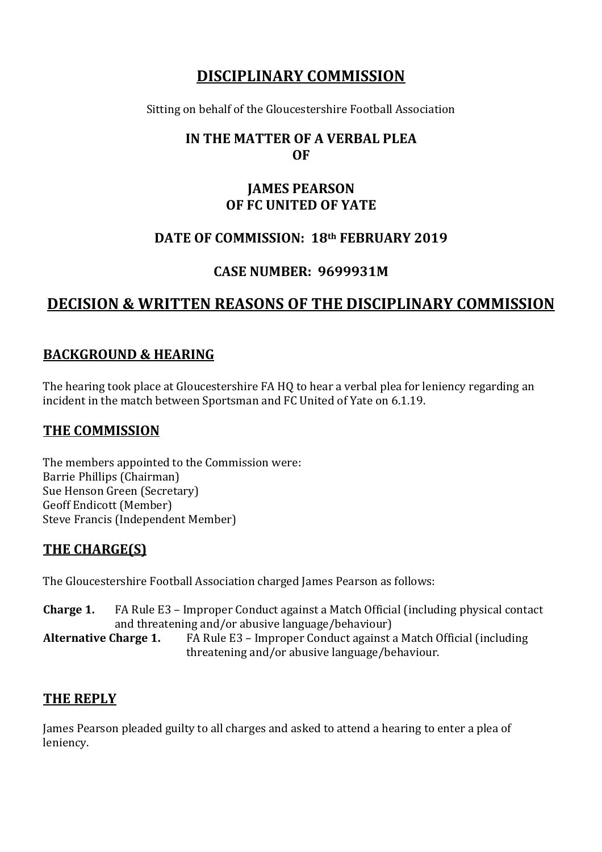# **DISCIPLINARY COMMISSION**

Sitting on behalf of the Gloucestershire Football Association

## **IN THE MATTER OF A VERBAL PLEA OF**

## **JAMES PEARSON OF FC UNITED OF YATE**

# **DATE OF COMMISSION: 18th FEBRUARY 2019**

# **CASE NUMBER: 9699931M**

# **DECISION & WRITTEN REASONS OF THE DISCIPLINARY COMMISSION**

## **BACKGROUND & HEARING**

The hearing took place at Gloucestershire FA HQ to hear a verbal plea for leniency regarding an incident in the match between Sportsman and FC United of Yate on 6.1.19.

#### **THE COMMISSION**

The members appointed to the Commission were: Barrie Phillips (Chairman) Sue Henson Green (Secretary) Geoff Endicott (Member) Steve Francis (Independent Member)

# **THE CHARGE(S)**

The Gloucestershire Football Association charged James Pearson as follows:

**Charge 1.** FA Rule E3 – Improper Conduct against a Match Official (including physical contact and threatening and/or abusive language/behaviour)

**Alternative Charge 1.** FA Rule E3 – Improper Conduct against a Match Official (including threatening and/or abusive language/behaviour.

#### **THE REPLY**

James Pearson pleaded guilty to all charges and asked to attend a hearing to enter a plea of leniency.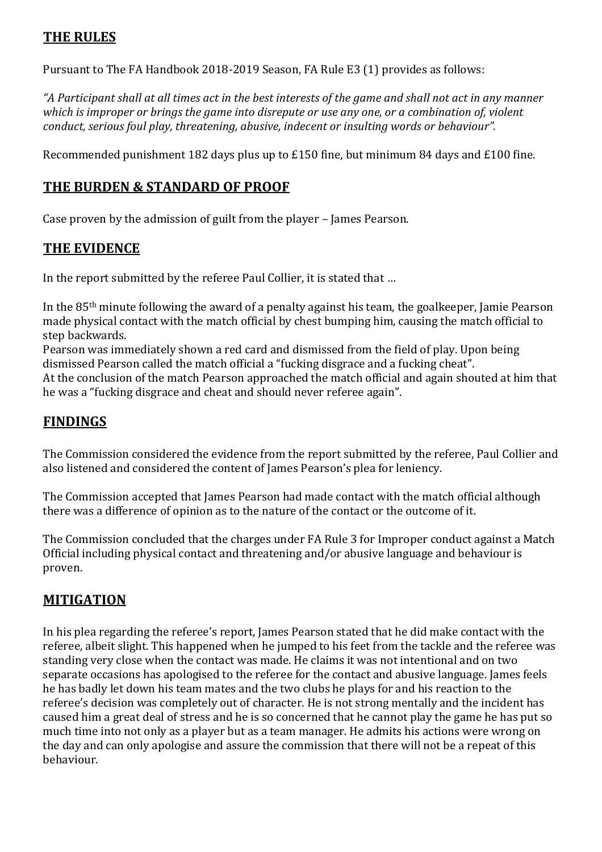## **THE RULES**

Pursuant to The FA Handbook 2018-2019 Season, FA Rule E3 (1) provides as follows:

*"A Participant shall at all times act in the best interests of the game and shall not act in any manner which is improper or brings the game into disrepute or use any one, or a combination of, violent conduct, serious foul play, threatening, abusive, indecent or insulting words or behaviour".*

Recommended punishment 182 days plus up to £150 fine, but minimum 84 days and £100 fine.

#### **THE BURDEN & STANDARD OF PROOF**

Case proven by the admission of guilt from the player – James Pearson.

#### **THE EVIDENCE**

In the report submitted by the referee Paul Collier, it is stated that …

In the 85th minute following the award of a penalty against his team, the goalkeeper, Jamie Pearson made physical contact with the match official by chest bumping him, causing the match official to step backwards.

Pearson was immediately shown a red card and dismissed from the field of play. Upon being dismissed Pearson called the match official a "fucking disgrace and a fucking cheat". At the conclusion of the match Pearson approached the match official and again shouted at him that he was a "fucking disgrace and cheat and should never referee again".

## **FINDINGS**

The Commission considered the evidence from the report submitted by the referee, Paul Collier and also listened and considered the content of James Pearson's plea for leniency.

The Commission accepted that James Pearson had made contact with the match official although there was a difference of opinion as to the nature of the contact or the outcome of it.

The Commission concluded that the charges under FA Rule 3 for Improper conduct against a Match Official including physical contact and threatening and/or abusive language and behaviour is proven.

#### **MITIGATION**

In his plea regarding the referee's report, James Pearson stated that he did make contact with the referee, albeit slight. This happened when he jumped to his feet from the tackle and the referee was standing very close when the contact was made. He claims it was not intentional and on two separate occasions has apologised to the referee for the contact and abusive language. James feels he has badly let down his team mates and the two clubs he plays for and his reaction to the referee's decision was completely out of character. He is not strong mentally and the incident has caused him a great deal of stress and he is so concerned that he cannot play the game he has put so much time into not only as a player but as a team manager. He admits his actions were wrong on the day and can only apologise and assure the commission that there will not be a repeat of this behaviour.